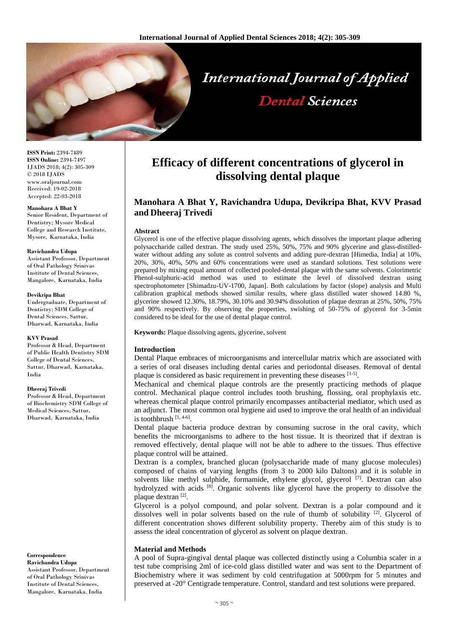

**ISSN Print:** 2394-7489 **ISSN Online:** 2394-7497 IJADS 2018; 4(2): 305-309 © 2018 IJADS www.oraljournal.com Received: 19-02-2018 Accepted: 22-03-2018

#### **Manohara A Bhat Y**

Senior Resident, Department of Dentistry; Mysore Medical College and Research Institute, Mysore, Karnataka, India

### **Ravichandra Udupa**

Assistant Professor, Department of Oral Pathology Srinivas Institute of Dental Sciences, Mangalore, Karnataka, India

### **Devikripa Bhat**

Undergraduate, Department of Dentistry; SDM College of Dental Sciences, Sattur, Dharwad, Karnataka, India

#### **KVV Prasad**

Professor & Head, Department of Public Health Dentistry SDM College of Dental Sciences, Sattur, Dharwad, Karnataka, India

### **Dheeraj Trivedi**

Professor & Head, Department of Biochemistry SDM College of Medical Sciences, Sattur, Dharwad, Karnataka, India

**Correspondence Ravichandra Udupa** Assistant Professor, Department

of Oral Pathology Srinivas Institute of Dental Sciences, Mangalore, Karnataka, India

# **Efficacy of different concentrations of glycerol in dissolving dental plaque**

# **Manohara A Bhat Y, Ravichandra Udupa, Devikripa Bhat, KVV Prasad and Dheeraj Trivedi**

### **Abstract**

Glycerol is one of the effective plaque dissolving agents, which dissolves the important plaque adhering polysaccharide called dextran. The study used 25%, 50%, 75% and 90% glycerine and glass-distilledwater without adding any solute as control solvents and adding pure-dextran [Himedia, India] at 10%, 20%, 30%, 40%, 50% and 60% concentrations were used as standard solutions. Test solutions were prepared by mixing equal amount of collected pooled-dental plaque with the same solvents. Colorimetric Phenol-sulphuric-acid method was used to estimate the level of dissolved dextran using spectrophotometer [Shimadzu-UV-1700, Japan]. Both calculations by factor (slope) analysis and Multi calibration graphical methods showed similar results, where glass distilled water showed 14.80 %, glycerine showed 12.30%, 18.79%, 30.10% and 30.94% dissolution of plaque dextran at 25%, 50%, 75% and 90% respectively. By observing the properties, swishing of 50-75% of glycerol for 3-5min considered to be ideal for the use of dental plaque control.

**Keywords:** Plaque dissolving agents, glycerine, solvent

### **Introduction**

Dental Plaque embraces of microorganisms and intercellular matrix which are associated with a series of oral diseases including dental caries and periodontal diseases. Removal of dental plaque is considered as basic requirement in preventing these diseases [1-5].

Mechanical and chemical plaque controls are the presently practicing methods of plaque control. Mechanical plaque control includes tooth brushing, flossing, oral prophylaxis etc. whereas chemical plaque control primarily encompasses antibacterial mediator, which used as an adjunct. The most common oral hygiene aid used to improve the oral health of an individual is toothbrush  $[1, 4-6]$ .

Dental plaque bacteria produce dextran by consuming sucrose in the oral cavity, which benefits the microorganisms to adhere to the host tissue. It is theorized that if dextran is removed effectively, dental plaque will not be able to adhere to the tissues. Thus effective plaque control will be attained.

Dextran is a complex, branched glucan (polysaccharide made of many glucose molecules) composed of chains of varying lengths (from 3 to 2000 kilo Daltons) and it is soluble in solvents like methyl sulphide, formamide, ethylene glycol, glycerol <sup>[7]</sup>. Dextran can also hydrolyzed with acids <sup>[8]</sup>. Organic solvents like glycerol have the property to dissolve the plaque dextran [2].

Glycerol is a polyol compound, and polar solvent. Dextran is a polar compound and it dissolves well in polar solvents based on the rule of thumb of solubility [2]. Glycerol of different concentration shows different solubility property. Thereby aim of this study is to assess the ideal concentration of glycerol as solvent on plaque dextran.

### **Material and Methods**

A pool of Supra-gingival dental plaque was collected distinctly using a Columbia scaler in a test tube comprising 2ml of ice-cold glass distilled water and was sent to the Department of Biochemistry where it was sediment by cold centrifugation at 5000rpm for 5 minutes and preserved at -20° Centigrade temperature. Control, standard and test solutions were prepared.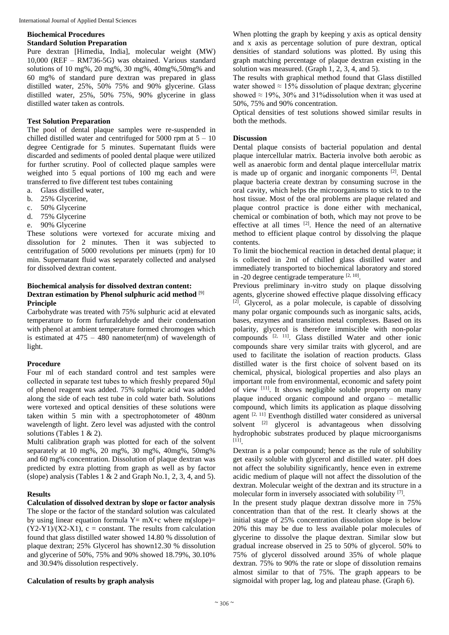# **Biochemical Procedures**

# **Standard Solution Preparation**

Pure dextran [Himedia, India], molecular weight (MW) 10,000 (REF – RM736-5G) was obtained. Various standard solutions of 10 mg%, 20 mg%, 30 mg%, 40mg%,50mg% and 60 mg% of standard pure dextran was prepared in glass distilled water, 25%, 50% 75% and 90% glycerine. Glass distilled water, 25%, 50% 75%, 90% glycerine in glass distilled water taken as controls.

# **Test Solution Preparation**

The pool of dental plaque samples were re-suspended in chilled distilled water and centrifuged for 5000 rpm at  $5 - 10$ degree Centigrade for 5 minutes. Supernatant fluids were discarded and sediments of pooled dental plaque were utilized for further scrutiny. Pool of collected plaque samples were weighed into 5 equal portions of 100 mg each and were transferred to five different test tubes containing

- a. Glass distilled water,
- b. 25% Glycerine,
- c. 50% Glycerine
- d. 75% Glycerine
- e. 90% Glycerine

These solutions were vortexed for accurate mixing and dissolution for 2 minutes. Then it was subjected to centrifugation of 5000 revolutions per minuets (rpm) for 10 min. Supernatant fluid was separately collected and analysed for dissolved dextran content.

## **Biochemical analysis for dissolved dextran content: Dextran estimation by Phenol sulphuric acid method** [9] **Principle**

Carbohydrate was treated with 75% sulphuric acid at elevated temperature to form furfuraldehyde and their condensation with phenol at ambient temperature formed chromogen which is estimated at  $475 - 480$  nanometer(nm) of wavelength of light.

### **Procedure**

Four ml of each standard control and test samples were collected in separate test tubes to which freshly prepared 50μl of phenol reagent was added. 75% sulphuric acid was added along the side of each test tube in cold water bath. Solutions were vortexed and optical densities of these solutions were taken within 5 min with a spectrophotometer of 480nm wavelength of light. Zero level was adjusted with the control solutions (Tables 1 & 2).

Multi calibration graph was plotted for each of the solvent separately at 10 mg%, 20 mg%, 30 mg%, 40mg%, 50mg% and 60 mg% concentration. Dissolution of plaque dextran was predicted by extra plotting from graph as well as by factor (slope) analysis (Tables  $1 \& 2$  and Graph No.1, 2, 3, 4, and 5).

### **Results**

**Calculation of dissolved dextran by slope or factor analysis** The slope or the factor of the standard solution was calculated by using linear equation formula  $Y = mX+c$  where m(slope)=  $(Y2-Y1)/(X2-X1)$ , c = constant. The results from calculation found that glass distilled water showed 14.80 % dissolution of plaque dextran; 25% Glycerol has shown12.30 % dissolution and glycerine of 50%, 75% and 90% showed 18.79%, 30.10% and 30.94% dissolution respectively.

# **Calculation of results by graph analysis**

When plotting the graph by keeping y axis as optical density and x axis as percentage solution of pure dextran, optical densities of standard solutions was plotted. By using this graph matching percentage of plaque dextran existing in the solution was measured. (Graph 1, 2, 3, 4, and 5).

The results with graphical method found that Glass distilled water showed  $\approx 15\%$  dissolution of plaque dextran; glycerine showed  $\approx$  19%, 30% and 31% dissolution when it was used at 50%, 75% and 90% concentration.

Optical densities of test solutions showed similar results in both the methods.

### **Discussion**

Dental plaque consists of bacterial population and dental plaque intercellular matrix. Bacteria involve both aerobic as well as anaerobic form and dental plaque intercellular matrix is made up of organic and inorganic components<sup>[2]</sup>. Dental plaque bacteria create dextran by consuming sucrose in the oral cavity, which helps the microorganisms to stick to to the host tissue. Most of the oral problems are plaque related and plaque control practice is done either with mechanical, chemical or combination of both, which may not prove to be effective at all times [2]. Hence the need of an alternative method to efficient plaque control by dissolving the plaque contents.

To limit the biochemical reaction in detached dental plaque; it is collected in 2ml of chilled glass distilled water and immediately transported to biochemical laboratory and stored in -20 degree centigrade temperature  $[2, 10]$ .

Previous preliminary in-vitro study on plaque dissolving agents, glycerine showed effective plaque dissolving efficacy [2] . Glycerol, as a polar molecule, is capable of dissolving many polar organic compounds such as inorganic salts, acids, bases, enzymes and transition metal complexes. Based on its polarity, glycerol is therefore immiscible with non-polar compounds [2, 11] . Glass distilled Water and other ionic compounds share very similar traits with glycerol, and are used to facilitate the isolation of reaction products. Glass distilled water is the first choice of solvent based on its chemical, physical, biological properties and also plays an important role from environmental, economic and safety point of view <sup>[11]</sup>. It shows negligible soluble property on many plaque induced organic compound and organo – metallic compound, which limits its application as plaque dissolving agent [2, 11] Eventhogh distilled water considered as universal solvent  $[2]$  glycerol is advantageous when dissolving hydrophobic substrates produced by plaque microorganisms [11] .

Dextran is a polar compound; hence as the rule of solubility get easily soluble with glycerol and distilled water. pH does not affect the solubility significantly, hence even in extreme acidic medium of plaque will not affect the dissolution of the dextran. Molecular weight of the dextran and its structure in a molecular form in inversely associated with solubility [7].

In the present study plaque dextran dissolve more in 75% concentration than that of the rest. It clearly shows at the initial stage of 25% concentration dissolution slope is below 20% this may be due to less available polar molecules of glycerine to dissolve the plaque dextran. Similar slow but gradual increase observed in 25 to 50% of glycerol. 50% to 75% of glycerol dissolved around 35% of whole plaque dextran. 75% to 90% the rate or slope of dissolution remains almost similar to that of 75%. The graph appears to be sigmoidal with proper lag, log and plateau phase. (Graph 6).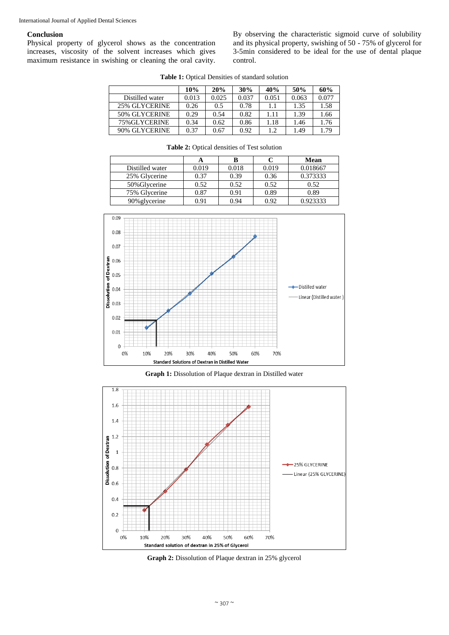### **Conclusion**

Physical property of glycerol shows as the concentration increases, viscosity of the solvent increases which gives maximum resistance in swishing or cleaning the oral cavity. By observing the characteristic sigmoid curve of solubility and its physical property, swishing of 50 - 75% of glycerol for 3-5min considered to be ideal for the use of dental plaque control.

**Table 1:** Optical Densities of standard solution

|                 | 10%   | 20%   | 30%   | 40%   | 50%   | 60%   |
|-----------------|-------|-------|-------|-------|-------|-------|
| Distilled water | 0.013 | 0.025 | 0.037 | 0.051 | 0.063 | 0.077 |
| 25% GLYCERINE   | 0.26  | 0.5   | 0.78  | 1.1   | 1.35  | 1.58  |
| 50% GLYCERINE   | 0.29  | 0.54  | 0.82  | 1.11  | 1.39  | 1.66  |
| 75% GLYCERINE   | 0.34  | 0.62  | 0.86  | 1.18  | 1.46  | 1.76  |
| 90% GLYCERINE   | 0.37  | 0.67  | 0.92  | 1.2   | 1.49  | 1.79  |

**Table 2:** Optical densities of Test solution

|                 | A     | B     |       | Mean     |
|-----------------|-------|-------|-------|----------|
| Distilled water | 0.019 | 0.018 | 0.019 | 0.018667 |
| 25% Glycerine   | 0.37  | 0.39  | 0.36  | 0.373333 |
| 50% Glycerine   | 0.52  | 0.52  | 0.52  | 0.52     |
| 75% Glycerine   | 0.87  | 0.91  | 0.89  | 0.89     |
| 90% glycerine   | 0.91  | 0.94  | 0.92  | 0.923333 |



**Graph 1:** Dissolution of Plaque dextran in Distilled water



**Graph 2:** Dissolution of Plaque dextran in 25% glycerol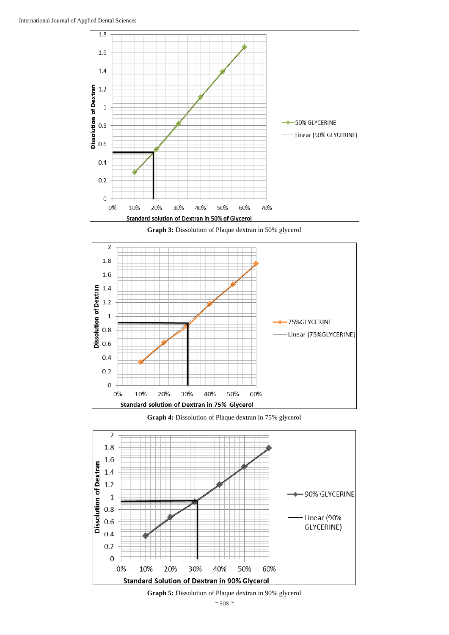

**Graph 3:** Dissolution of Plaque dextran in 50% glycerol



**Graph 4:** Dissolution of Plaque dextran in 75% glycerol